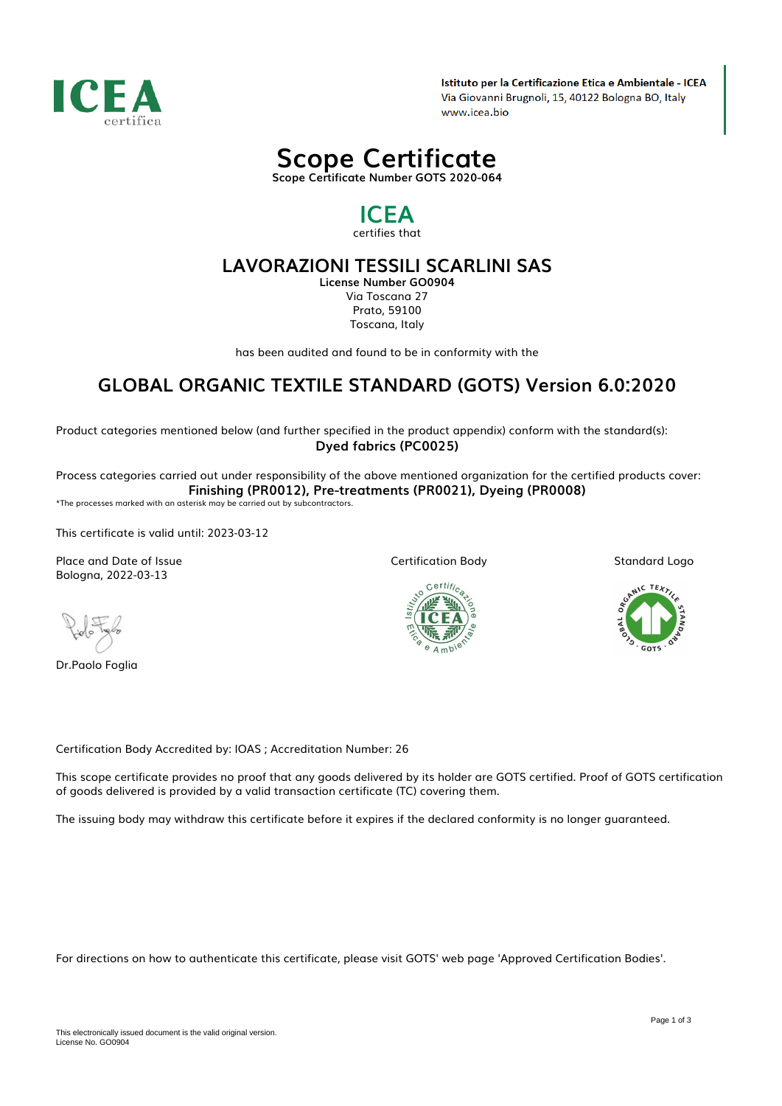

Istituto per la Certificazione Etica e Ambientale - ICEA Via Giovanni Brugnoli, 15, 40122 Bologna BO, Italy www.icea.bio



# *ICEA*

*certifies that*

### *LAVORAZIONI TESSILI SCARLINI SAS*

*License Number GO0904 Via Toscana 27 Prato, 59100 Toscana, Italy*

*has been audited and found to be in conformity with the*

## *GLOBAL ORGANIC TEXTILE STANDARD (GOTS) Version 6.0:2020*

*Product categories mentioned below (and further specified in the product appendix) conform with the standard(s): Dyed fabrics (PC0025)*

*Process categories carried out under responsibility of the above mentioned organization for the certified products cover: Finishing (PR0012), Pre-treatments (PR0021), Dyeing (PR0008)*

*\*The processes marked with an asterisk may be carried out by subcontractors.*

*This certificate is valid until: 2023-03-12*

*Place and Date of Issue Bologna, 2022-03-13*

*Dr.Paolo Foglia*



*Certification Body*



*Standard Logo*



*Certification Body Accredited by: IOAS ; Accreditation Number: 26*

*This scope certificate provides no proof that any goods delivered by its holder are GOTS certified. Proof of GOTS certification of goods delivered is provided by a valid transaction certificate (TC) covering them.*

*The issuing body may withdraw this certificate before it expires if the declared conformity is no longer guaranteed.*

*For directions on how to authenticate this certificate, please visit GOTS' web page 'Approved Certification Bodies'.*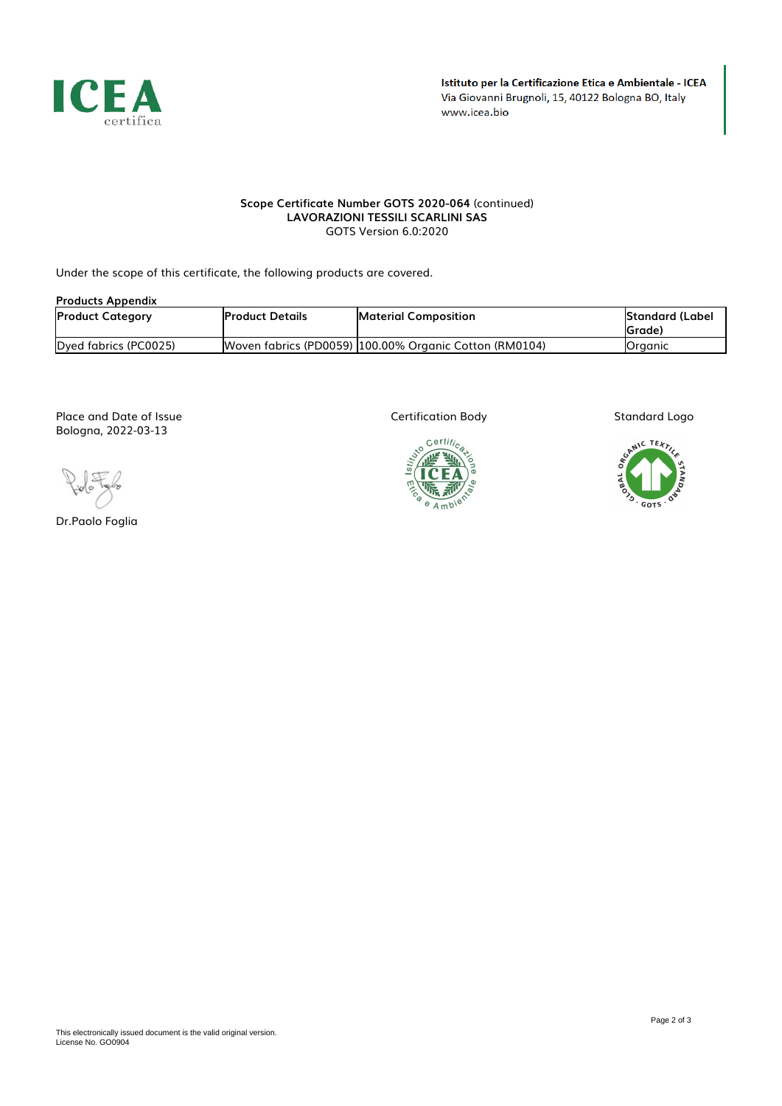

#### *Scope Certificate Number GOTS 2020-064 (continued) LAVORAZIONI TESSILI SCARLINI SAS GOTS Version 6.0:2020*

*Under the scope of this certificate, the following products are covered.*

| <b>Products Appendix</b> |                         |                                                        |                           |  |
|--------------------------|-------------------------|--------------------------------------------------------|---------------------------|--|
| <b>Product Category</b>  | <b>IProduct Details</b> | <b>Material Composition</b>                            | Standard (Label<br>(Grade |  |
| Dyed fabrics (PC0025)    |                         | Woven fabrics (PD0059) 100.00% Organic Cotton (RM0104) | <b>I</b> Oraanic          |  |

*Place and Date of Issue Bologna, 2022-03-13*

*Dr.Paolo Foglia*

*Certification Body*



*Standard Logo*